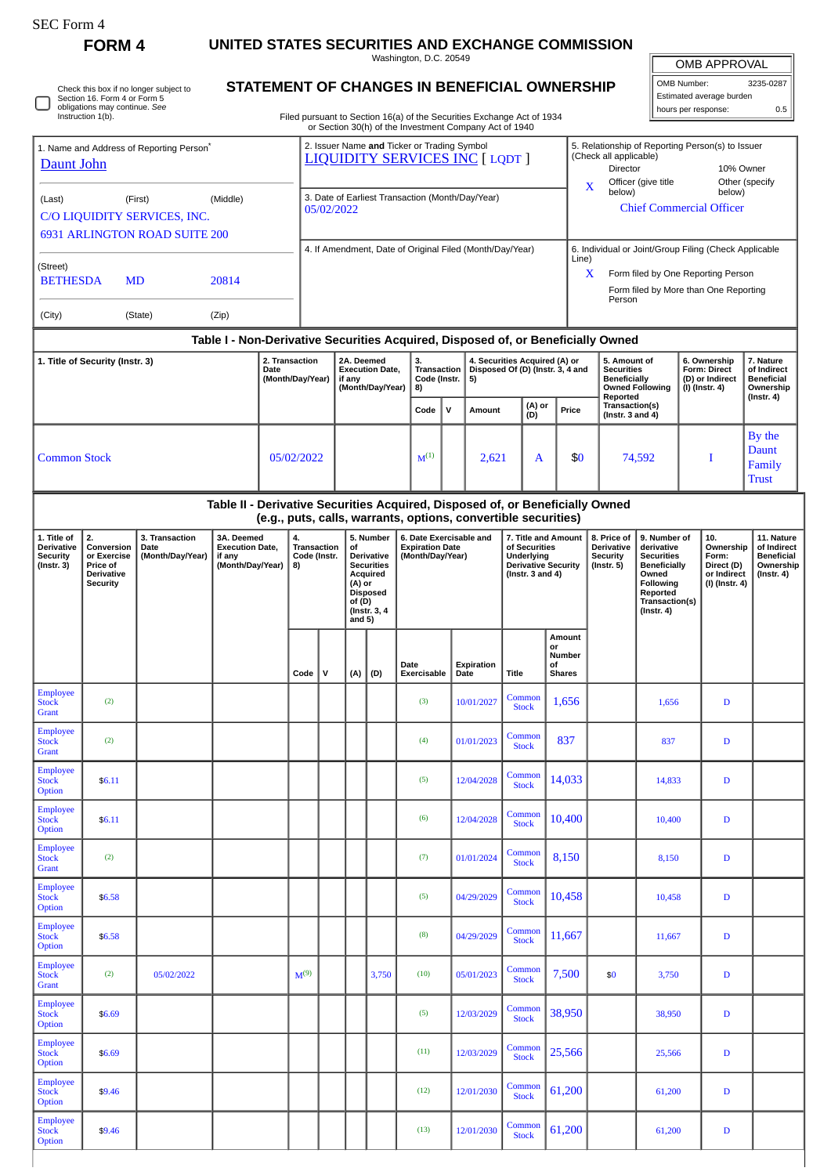| SEC Form 4    |                   |
|---------------|-------------------|
| <b>FORM 4</b> | <b>UNITED ST.</b> |

**ATES SECURITIES AND EXCHANGE COMMISSION** 

Washington, D.C. 20549 **STATEMENT OF CHANGES IN BENEFICIAL OWNERSHIP**

OMB APPROVAL

OMB Number: 3235-0287 Estimated average burden  $\left\vert \right\vert$  hours per response: 0.5

|                                                                                                       | Section 16. Form 4 or Form 5<br>obligations may continue. See<br>Instruction 1(b). | Check this box if no longer subject to |                                                                      |  |                                    |                                                                                                                                                 |                                                                                                                              |                                                                       | STATEMENT OF CHANGES IN BENEFICIAL OWNERSHIP<br>Filed pursuant to Section 16(a) of the Securities Exchange Act of 1934                          |   |                                                                                                           |                                  |                                               |                                                                      |                                                                                                                                         |                                                                                                                                                              |                                                                          | Estimated average burden<br>hours per response:                                 | 0.5                                                                            |  |  |  |
|-------------------------------------------------------------------------------------------------------|------------------------------------------------------------------------------------|----------------------------------------|----------------------------------------------------------------------|--|------------------------------------|-------------------------------------------------------------------------------------------------------------------------------------------------|------------------------------------------------------------------------------------------------------------------------------|-----------------------------------------------------------------------|-------------------------------------------------------------------------------------------------------------------------------------------------|---|-----------------------------------------------------------------------------------------------------------|----------------------------------|-----------------------------------------------|----------------------------------------------------------------------|-----------------------------------------------------------------------------------------------------------------------------------------|--------------------------------------------------------------------------------------------------------------------------------------------------------------|--------------------------------------------------------------------------|---------------------------------------------------------------------------------|--------------------------------------------------------------------------------|--|--|--|
| 1. Name and Address of Reporting Person <sup>®</sup><br>Daunt John                                    |                                                                                    |                                        |                                                                      |  |                                    | or Section 30(h) of the Investment Company Act of 1940<br>2. Issuer Name and Ticker or Trading Symbol<br><b>LIQUIDITY SERVICES INC [ LQDT ]</b> |                                                                                                                              |                                                                       |                                                                                                                                                 |   |                                                                                                           |                                  |                                               |                                                                      | (Check all applicable)<br>Director                                                                                                      |                                                                                                                                                              | 5. Relationship of Reporting Person(s) to Issuer<br>10% Owner            |                                                                                 |                                                                                |  |  |  |
| (Last)<br>(First)<br>(Middle)<br>C/O LIQUIDITY SERVICES, INC.<br><b>6931 ARLINGTON ROAD SUITE 200</b> |                                                                                    |                                        |                                                                      |  |                                    | 3. Date of Earliest Transaction (Month/Day/Year)<br>05/02/2022                                                                                  |                                                                                                                              |                                                                       |                                                                                                                                                 |   |                                                                                                           |                                  |                                               |                                                                      | Officer (give title<br>Other (specify<br>X<br>below)<br>below)<br><b>Chief Commercial Officer</b>                                       |                                                                                                                                                              |                                                                          |                                                                                 |                                                                                |  |  |  |
| (Street)<br><b>BETHESDA</b><br><b>MD</b><br>20814                                                     |                                                                                    |                                        |                                                                      |  |                                    |                                                                                                                                                 | 4. If Amendment, Date of Original Filed (Month/Day/Year)                                                                     |                                                                       |                                                                                                                                                 |   |                                                                                                           |                                  |                                               |                                                                      |                                                                                                                                         | 6. Individual or Joint/Group Filing (Check Applicable<br>Line)<br>X<br>Form filed by One Reporting Person<br>Form filed by More than One Reporting<br>Person |                                                                          |                                                                                 |                                                                                |  |  |  |
| (City)                                                                                                |                                                                                    |                                        |                                                                      |  |                                    |                                                                                                                                                 |                                                                                                                              |                                                                       |                                                                                                                                                 |   |                                                                                                           |                                  |                                               |                                                                      |                                                                                                                                         |                                                                                                                                                              |                                                                          |                                                                                 |                                                                                |  |  |  |
|                                                                                                       |                                                                                    |                                        |                                                                      |  |                                    |                                                                                                                                                 |                                                                                                                              |                                                                       | Table I - Non-Derivative Securities Acquired, Disposed of, or Beneficially Owned                                                                |   |                                                                                                           |                                  |                                               |                                                                      |                                                                                                                                         |                                                                                                                                                              |                                                                          |                                                                                 |                                                                                |  |  |  |
| 2. Transaction<br>1. Title of Security (Instr. 3)<br>Date<br>(Month/Day/Year)                         |                                                                                    |                                        |                                                                      |  |                                    |                                                                                                                                                 | 2A. Deemed<br>if any                                                                                                         | <b>Execution Date,</b><br>(Month/Day/Year)                            | 3.<br>4. Securities Acquired (A) or<br><b>Transaction</b><br>Code (Instr.<br>5)<br>8)<br>Code                                                   |   |                                                                                                           | Disposed Of (D) (Instr. 3, 4 and |                                               | 5. Amount of<br><b>Securities</b><br><b>Beneficially</b><br>Reported |                                                                                                                                         | <b>Owned Following</b>                                                                                                                                       |                                                                          | 6. Ownership<br>Form: Direct<br>(D) or Indirect<br>(I) (Instr. 4)               | 7. Nature<br>of Indirect<br><b>Beneficial</b><br>Ownership<br>$($ lnstr. 4 $)$ |  |  |  |
|                                                                                                       |                                                                                    |                                        |                                                                      |  |                                    |                                                                                                                                                 |                                                                                                                              |                                                                       |                                                                                                                                                 | v | Amount                                                                                                    | (A) or<br>(D)                    | Price                                         |                                                                      | Transaction(s)<br>(Instr. $3$ and $4$ )                                                                                                 |                                                                                                                                                              |                                                                          |                                                                                 |                                                                                |  |  |  |
| <b>Common Stock</b><br>05/02/2022                                                                     |                                                                                    |                                        |                                                                      |  |                                    |                                                                                                                                                 |                                                                                                                              |                                                                       | $M^{(1)}$                                                                                                                                       |   |                                                                                                           | 2,621<br>A                       |                                               | \$0                                                                  | 74,592                                                                                                                                  |                                                                                                                                                              | I                                                                        |                                                                                 | By the<br>Daunt<br>Family<br><b>Trust</b>                                      |  |  |  |
|                                                                                                       |                                                                                    |                                        |                                                                      |  |                                    |                                                                                                                                                 |                                                                                                                              |                                                                       | Table II - Derivative Securities Acquired, Disposed of, or Beneficially Owned<br>(e.g., puts, calls, warrants, options, convertible securities) |   |                                                                                                           |                                  |                                               |                                                                      |                                                                                                                                         |                                                                                                                                                              |                                                                          |                                                                                 |                                                                                |  |  |  |
| 1. Title of<br>Derivative<br><b>Security</b><br>$($ Instr. 3 $)$                                      | 2.<br>Conversion<br>or Exercise<br>Price of<br>Derivative<br><b>Security</b>       | if any                                 | 3A. Deemed<br>4.<br><b>Execution Date,</b><br>(Month/Day/Year)<br>8) |  | <b>Transaction</b><br>Code (Instr. |                                                                                                                                                 | 5. Number<br>Derivative<br><b>Securities</b><br>Acquired<br>(A) or<br><b>Disposed</b><br>of (D)<br>(Instr. 3, 4)<br>and $5)$ | 6. Date Exercisable and<br><b>Expiration Date</b><br>(Month/Day/Year) |                                                                                                                                                 |   | 7. Title and Amount<br>of Securities<br>Underlying<br><b>Derivative Security</b><br>(Instr. $3$ and $4$ ) |                                  |                                               | 8. Price of<br>Derivative<br><b>Security</b><br>$($ Instr. 5 $)$     | 9. Number of<br>derivative<br><b>Securities</b><br>Beneficially<br>Owned<br>Following<br>Reported<br>Transaction(s)<br>$($ Instr. 4 $)$ |                                                                                                                                                              | 10.<br>Ownership<br>Form:<br>Direct (D)<br>or Indirect<br>(I) (Instr. 4) | 11. Nature<br>of Indirect<br><b>Beneficial</b><br>Ownership<br>$($ Instr. 4 $)$ |                                                                                |  |  |  |
|                                                                                                       |                                                                                    |                                        |                                                                      |  | Code                               | $\mathsf{v}$                                                                                                                                    | (A)                                                                                                                          | (D)                                                                   | Date<br>Exercisable                                                                                                                             |   | Expiration<br>Date                                                                                        | Title                            | Amount<br>or<br>Number<br>οf<br><b>Shares</b> |                                                                      |                                                                                                                                         |                                                                                                                                                              |                                                                          |                                                                                 |                                                                                |  |  |  |
| <b>Employee</b><br><b>Stock</b><br><b>Grant</b>                                                       | (2)                                                                                |                                        |                                                                      |  |                                    |                                                                                                                                                 |                                                                                                                              |                                                                       | (3)                                                                                                                                             |   | 10/01/2027                                                                                                | Common<br><b>Stock</b>           | 1,656                                         |                                                                      |                                                                                                                                         | 1,656                                                                                                                                                        |                                                                          | D                                                                               |                                                                                |  |  |  |
| <b>Employee</b><br><b>Stock</b><br>Grant                                                              | (2)                                                                                |                                        |                                                                      |  |                                    |                                                                                                                                                 |                                                                                                                              |                                                                       | (4)                                                                                                                                             |   | 01/01/2023                                                                                                | Common<br><b>Stock</b>           | 837                                           |                                                                      |                                                                                                                                         | 837                                                                                                                                                          |                                                                          | D                                                                               |                                                                                |  |  |  |
| <b>Employee</b><br><b>Stock</b><br>Option                                                             | \$6.11                                                                             |                                        |                                                                      |  |                                    |                                                                                                                                                 |                                                                                                                              |                                                                       | (5)                                                                                                                                             |   | 12/04/2028                                                                                                | Common<br><b>Stock</b>           | 14,033                                        |                                                                      |                                                                                                                                         | 14,833                                                                                                                                                       |                                                                          | D                                                                               |                                                                                |  |  |  |
| <b>Employee</b><br><b>Stock</b><br>Option                                                             | \$6.11                                                                             |                                        |                                                                      |  |                                    |                                                                                                                                                 |                                                                                                                              |                                                                       | (6)                                                                                                                                             |   | 12/04/2028                                                                                                | Common<br><b>Stock</b>           | 10,400                                        |                                                                      |                                                                                                                                         | 10,400                                                                                                                                                       | D                                                                        |                                                                                 |                                                                                |  |  |  |
| <b>Employee</b><br><b>Stock</b><br>Grant                                                              | (2)                                                                                |                                        |                                                                      |  |                                    |                                                                                                                                                 |                                                                                                                              |                                                                       | (7)                                                                                                                                             |   | 01/01/2024                                                                                                | Common<br><b>Stock</b>           | 8,150                                         |                                                                      |                                                                                                                                         | 8,150                                                                                                                                                        | D                                                                        |                                                                                 |                                                                                |  |  |  |
| Employee<br><b>Stock</b><br>Option                                                                    | \$6.58                                                                             |                                        |                                                                      |  |                                    |                                                                                                                                                 |                                                                                                                              |                                                                       | (5)                                                                                                                                             |   | 04/29/2029                                                                                                | Common<br><b>Stock</b>           | 10,458                                        |                                                                      |                                                                                                                                         | 10,458                                                                                                                                                       |                                                                          | D                                                                               |                                                                                |  |  |  |
| <b>Employee</b><br><b>Stock</b><br>Option                                                             | \$6.58                                                                             |                                        |                                                                      |  |                                    |                                                                                                                                                 |                                                                                                                              |                                                                       | (8)                                                                                                                                             |   | 04/29/2029                                                                                                | Common<br><b>Stock</b>           | 11,667                                        |                                                                      |                                                                                                                                         | 11,667                                                                                                                                                       |                                                                          | D                                                                               |                                                                                |  |  |  |
| <b>Employee</b><br><b>Stock</b><br>Grant                                                              | (2)                                                                                | 05/02/2022                             |                                                                      |  | $M^{(9)}$                          |                                                                                                                                                 |                                                                                                                              | 3,750                                                                 | (10)                                                                                                                                            |   | 05/01/2023                                                                                                | Common<br><b>Stock</b>           | 7,500                                         |                                                                      | \$0                                                                                                                                     | 3,750                                                                                                                                                        |                                                                          | D                                                                               |                                                                                |  |  |  |
| <b>Employee</b><br><b>Stock</b><br>Option                                                             | \$6.69                                                                             |                                        |                                                                      |  |                                    |                                                                                                                                                 |                                                                                                                              |                                                                       | (5)                                                                                                                                             |   | 12/03/2029                                                                                                | Common<br><b>Stock</b>           | 38,950                                        |                                                                      |                                                                                                                                         | 38,950                                                                                                                                                       |                                                                          | D                                                                               |                                                                                |  |  |  |
| <b>Employee</b><br><b>Stock</b><br>Option                                                             | \$6.69                                                                             |                                        |                                                                      |  |                                    |                                                                                                                                                 |                                                                                                                              |                                                                       | (11)                                                                                                                                            |   | 12/03/2029                                                                                                | Common<br><b>Stock</b>           | 25,566                                        |                                                                      |                                                                                                                                         | 25,566                                                                                                                                                       |                                                                          | D                                                                               |                                                                                |  |  |  |
| Employee<br><b>Stock</b><br>Option                                                                    | \$9.46                                                                             |                                        |                                                                      |  |                                    |                                                                                                                                                 |                                                                                                                              |                                                                       | (12)                                                                                                                                            |   | 12/01/2030                                                                                                | Common<br><b>Stock</b>           | 61,200                                        |                                                                      |                                                                                                                                         | 61,200                                                                                                                                                       |                                                                          | D                                                                               |                                                                                |  |  |  |
| <b>Employee</b><br><b>Stock</b><br>Option                                                             | \$9.46                                                                             |                                        |                                                                      |  |                                    |                                                                                                                                                 |                                                                                                                              |                                                                       | (13)                                                                                                                                            |   | 12/01/2030                                                                                                | Common<br><b>Stock</b>           | 61,200                                        |                                                                      |                                                                                                                                         | 61,200                                                                                                                                                       |                                                                          | D                                                                               |                                                                                |  |  |  |